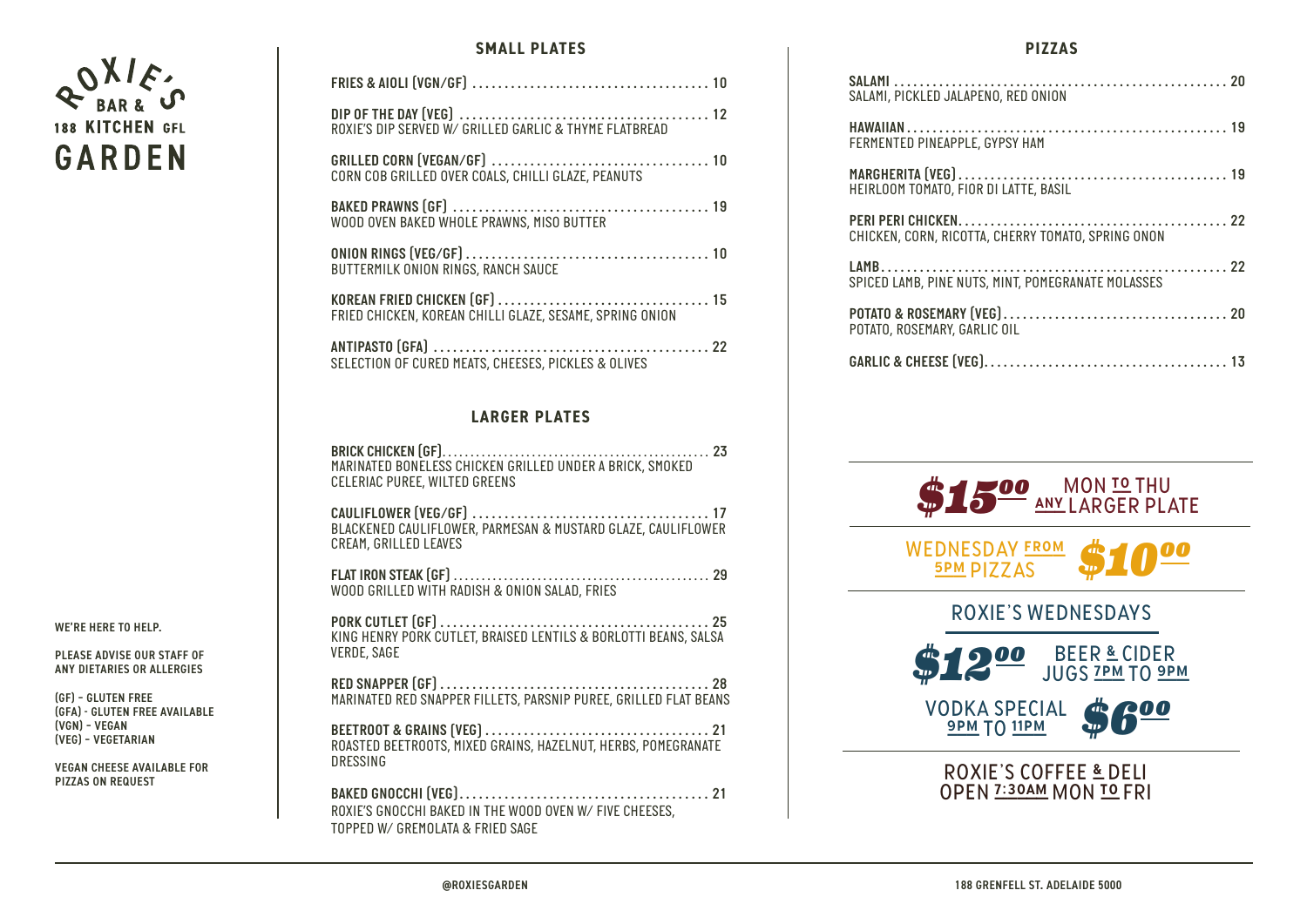

WE'RE HERE TO HELP.

PLEASE ADVISE OUR STAFF OF ANY DIETARIES OR ALLERGIES

(GF) – GLUTEN FREE (GFA) - GLUTEN FREE AVAILABLE (VGN) – VEGAN (VEG) – VEGETARIAN

VEGAN CHEESE AVAILABLE FOR PIZZAS ON REQUEST

## **SMALL PLATES**

| ROXIE'S DIP SERVED W/ GRILLED GARLIC & THYME FLATBREAD   |
|----------------------------------------------------------|
| CORN COB GRILLED OVER COALS, CHILLI GLAZE, PEANUTS       |
| WOOD OVEN BAKED WHOLE PRAWNS, MISO BUTTER                |
| BUTTERMILK ONION RINGS, RANCH SAUCE                      |
| FRIED CHICKEN, KOREAN CHILLI GLAZE, SESAME, SPRING ONION |
| SELECTION OF CURED MEATS, CHEESES, PICKLES & OLIVES      |
|                                                          |

## **LARGER PLATES**

*BRICK CHICKEN (GF) . . . . . . . . . . . . . . . . . . . . . . . . . . . . . . . . . . . . . . . . . . . . . . . . 23 MARINATED BONELESS CHICKEN GRILLED UNDER A BRICK, SMOKED CELERIAC PUREE, WILTED GREENS*

*CAULIFLOWER (VEG/GF) . . . . . . . . . . . . . . . . . . . . . . . . . . . . . . . . . . . . . 17 BLACKENED CAULIFLOWER, PARMESAN & MUSTARD GLAZE, CAULIFLOWER CREAM, GRILLED LEAVES*

*FLAT IRON STEAK (GF) . . . . . . . . . . . . . . . . . . . . . . . . . . . . . . . . . . . . . . . . . . . . . . 29 WOOD GRILLED WITH RADISH & ONION SALAD, FRIES*

*PORK CUTLET (GF) . . . . . . . . . . . . . . . . . . . . . . . . . . . . . . . . . . . . . . . . . . 25 KING HENRY PORK CUTLET, BRAISED LENTILS & BORLOTTI BEANS, SALSA VERDE, SAGE*

*RED SNAPPER (GF) . . . . . . . . . . . . . . . . . . . . . . . . . . . . . . . . . . . . . . . . . . 28 MARINATED RED SNAPPER FILLETS, PARSNIP PUREE, GRILLED FLAT BEANS*

*BEETROOT & GRAINS (VEG) . . . . . . . . . . . . . . . . . . . . . . . . . . . . . . . . . . . 21 ROASTED BEETROOTS, MIXED GRAINS, HAZELNUT, HERBS, POMEGRANATE DRESSING*

*BAKED GNOCCHI (VEG) . . . . . . . . . . . . . . . . . . . . . . . . . . . . . . . . . . . . . . . 21 ROXIE'S GNOCCHI BAKED IN THE WOOD OVEN W/ FIVE CHEESES, TOPPED W/ GREMOLATA & FRIED SAGE*

## **PIZZAS**

| SALAMI, PICKLED JALAPENO, RED ONION                |
|----------------------------------------------------|
| FERMENTED PINEAPPLE, GYPSY HAM                     |
| HEIRLOOM TOMATO, FIOR DI LATTE, BASIL              |
| CHICKEN, CORN, RICOTTA, CHERRY TOMATO, SPRING ONON |
| SPICED LAMB, PINE NUTS, MINT, POMEGRANATE MOLASSES |
| POTATO, ROSEMARY, GARLIC OIL                       |
|                                                    |